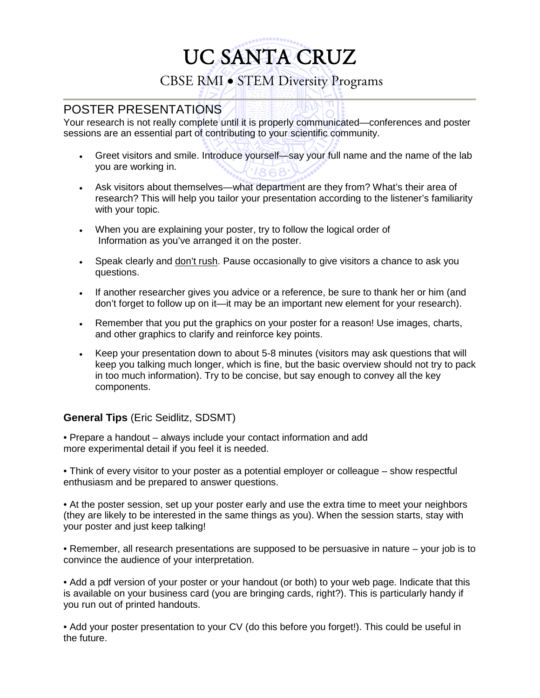# UC SANTA CRUZ CBSE RMI • STEM Diversity Programs

### POSTER PRESENTATIONS

Your research is not really complete until it is properly communicated—conferences and poster sessions are an essential part of contributing to your scientific community.

- Greet visitors and smile. Introduce yourself—say your full name and the name of the lab you are working in.
- Ask visitors about themselves—what department are they from? What's their area of research? This will help you tailor your presentation according to the listener's familiarity with your topic.
- When you are explaining your poster, try to follow the logical order of Information as you've arranged it on the poster.
- Speak clearly and don't rush. Pause occasionally to give visitors a chance to ask you questions.
- If another researcher gives you advice or a reference, be sure to thank her or him (and don't forget to follow up on it—it may be an important new element for your research).
- Remember that you put the graphics on your poster for a reason! Use images, charts, and other graphics to clarify and reinforce key points.
- Keep your presentation down to about 5-8 minutes (visitors may ask questions that will keep you talking much longer, which is fine, but the basic overview should not try to pack in too much information). Try to be concise, but say enough to convey all the key components.

#### **General Tips** (Eric Seidlitz, SDSMT)

• Prepare a handout – always include your contact information and add more experimental detail if you feel it is needed.

• Think of every visitor to your poster as a potential employer or colleague – show respectful enthusiasm and be prepared to answer questions.

• At the poster session, set up your poster early and use the extra time to meet your neighbors (they are likely to be interested in the same things as you). When the session starts, stay with your poster and just keep talking!

• Remember, all research presentations are supposed to be persuasive in nature – your job is to convince the audience of your interpretation.

• Add a pdf version of your poster or your handout (or both) to your web page. Indicate that this is available on your business card (you are bringing cards, right?). This is particularly handy if you run out of printed handouts.

• Add your poster presentation to your CV (do this before you forget!). This could be useful in the future.